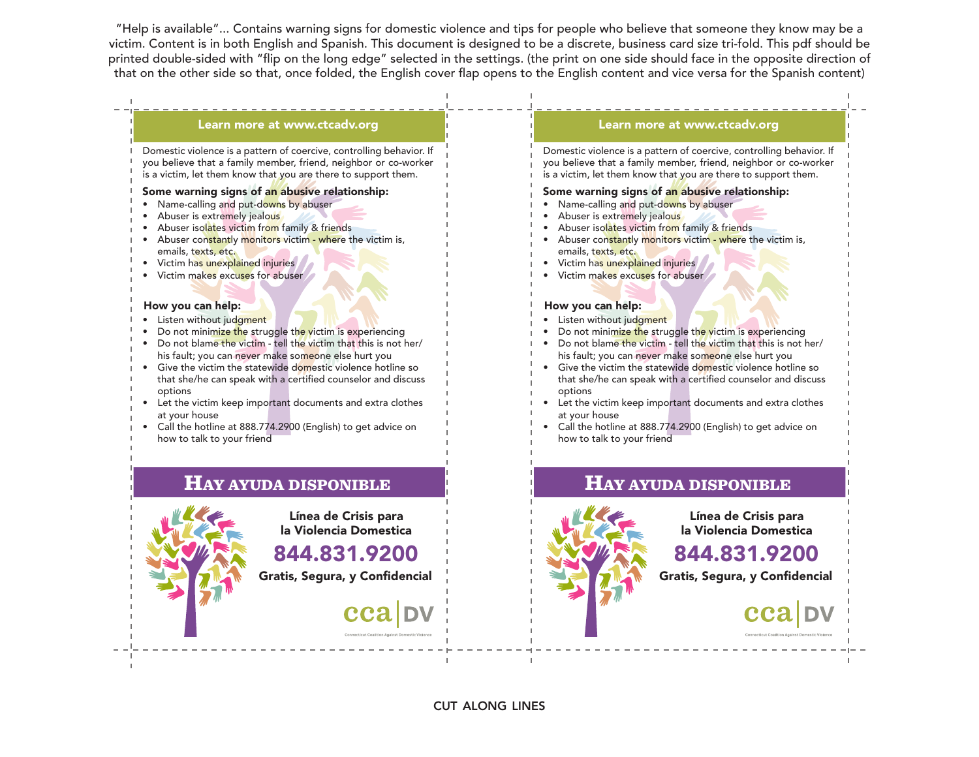"Help is available"... Contains warning signs for domestic violence and tips for people who believe that someone they know may be a victim. Content is in both English and Spanish. This document is designed to be a discrete, business card size tri-fold. This pdf should be printed double-sided with "flip on the long edge" selected in the settings. (the print on one side should face in the opposite direction of that on the other side so that, once folded, the English cover flap opens to the English content and vice versa for the Spanish content)

#### Learn more at www.ctcadv.org

Domestic violence is a pattern of coercive, controlling behavior. If you believe that a family member, friend, neighbor or co-worker is a victim, let them know that you are there to support them.

#### Some warning signs of an abusive relationship:

- Name-calling and put-downs by abuser
- Abuser is extremely jealous
- Abuser isolates victim from family & friends
- Abuser constantly monitors victim where the victim is, emails, texts, etc.
- Victim has unexplained injuries
- Victim makes excuses for abuser

#### How you can help:

- Listen without judgment
- Do not minimize the struggle the victim is experiencing
- Do not blame the victim tell the victim that this is not her/ his fault; you can never make someone else hurt you
- Give the victim the statewide domestic violence hotline so that she/he can speak with a certified counselor and discuss options
- Let the victim keep important documents and extra clothes at your house
- Call the hotline at 888.774.2900 (English) to get advice on how to talk to your friend

### HAY AYUDA DISPONIBLE



Línea de Crisis para la Violencia Domestica

844.831.9200

Gratis, Segura, y Confidencial

#### Learn more at www.ctcadv.org

Domestic violence is a pattern of coercive, controlling behavior. If you believe that a family member, friend, neighbor or co-worker is a victim, let them know that you are there to support them.

#### Some warning signs of an abusive relationship:

- Name-calling and put-downs by abuser
- Abuser is extremely jealous
- Abuser isolates victim from family & friends
- Abuser constantly monitors victim where the victim is, emails, texts, etc.
- Victim has unexplained injuries
- Victim makes excuses for abuser

#### How you can help:

- Listen without judgment
- Do not minimize the struggle the victim is experiencing
- Do not blame the victim tell the victim that this is not her/ his fault; you can never make someone else hurt you
- Give the victim the statewide domestic violence hotline so that she/he can speak with a certified counselor and discuss options
- Let the victim keep important documents and extra clothes at your house
- Call the hotline at 888.774.2900 (English) to get advice on how to talk to your friend



# HAY AYUDA DISPONIBLE

Línea de Crisis para la Violencia Domestica

# 844.831.9200

Gratis, Segura, y Confidencial

cut along lines